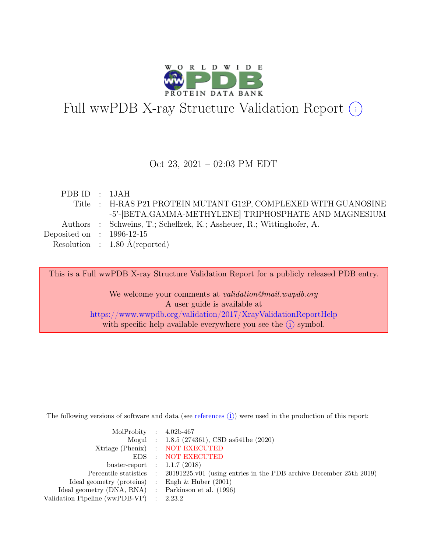

# Full wwPDB X-ray Structure Validation Report  $\bigcirc$

#### Oct 23, 2021 – 02:03 PM EDT

| PDBID : 1JAH                |                                                                       |
|-----------------------------|-----------------------------------------------------------------------|
|                             | Title : H-RAS P21 PROTEIN MUTANT G12P, COMPLEXED WITH GUANOSINE       |
|                             | -5'-[BETA, GAMMA-METHYLENE] TRIPHOSPHATE AND MAGNESIUM                |
|                             | Authors : Schweins, T.; Scheffzek, K.; Assheuer, R.; Wittinghofer, A. |
| Deposited on : $1996-12-15$ |                                                                       |
|                             | Resolution : $1.80 \text{ Å}$ (reported)                              |
|                             |                                                                       |

This is a Full wwPDB X-ray Structure Validation Report for a publicly released PDB entry.

We welcome your comments at *validation@mail.wwpdb.org* A user guide is available at <https://www.wwpdb.org/validation/2017/XrayValidationReportHelp> with specific help available everywhere you see the  $(i)$  symbol.

The following versions of software and data (see [references](https://www.wwpdb.org/validation/2017/XrayValidationReportHelp#references)  $(i)$ ) were used in the production of this report:

| MolProbity : $4.02b-467$                            |                                                                                            |
|-----------------------------------------------------|--------------------------------------------------------------------------------------------|
|                                                     | Mogul : $1.8.5$ (274361), CSD as 541be (2020)                                              |
|                                                     | Xtriage (Phenix) : NOT EXECUTED                                                            |
|                                                     | EDS : NOT EXECUTED                                                                         |
| buster-report : $1.1.7$ (2018)                      |                                                                                            |
|                                                     | Percentile statistics : 20191225.v01 (using entries in the PDB archive December 25th 2019) |
| Ideal geometry (proteins) : Engh $\&$ Huber (2001)  |                                                                                            |
| Ideal geometry (DNA, RNA) : Parkinson et al. (1996) |                                                                                            |
| Validation Pipeline (wwPDB-VP) : $2.23.2$           |                                                                                            |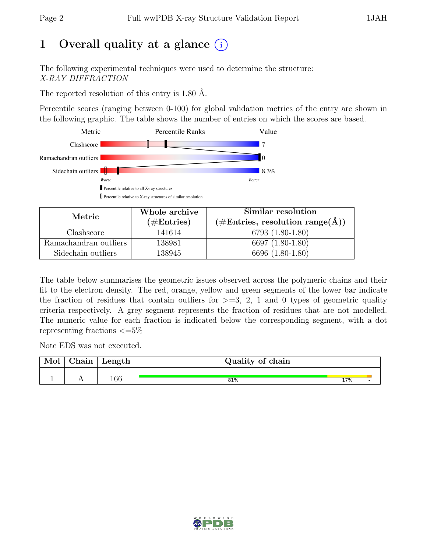# 1 Overall quality at a glance  $(i)$

The following experimental techniques were used to determine the structure: X-RAY DIFFRACTION

The reported resolution of this entry is 1.80 Å.

Percentile scores (ranging between 0-100) for global validation metrics of the entry are shown in the following graphic. The table shows the number of entries on which the scores are based.



| Metric                | Whole archive | Similar resolution                                         |
|-----------------------|---------------|------------------------------------------------------------|
|                       | $(\#Entries)$ | $(\#\text{Entries}, \text{ resolution range}(\text{\AA}))$ |
| Clashscore            | 141614        | 6793 (1.80-1.80)                                           |
| Ramachandran outliers | 138981        | 6697 (1.80-1.80)                                           |
| Sidechain outliers    | 138945        | 6696 (1.80-1.80)                                           |

The table below summarises the geometric issues observed across the polymeric chains and their fit to the electron density. The red, orange, yellow and green segments of the lower bar indicate the fraction of residues that contain outliers for  $\geq$ =3, 2, 1 and 0 types of geometric quality criteria respectively. A grey segment represents the fraction of residues that are not modelled. The numeric value for each fraction is indicated below the corresponding segment, with a dot representing fractions  $\epsilon = 5\%$ 

Note EDS was not executed.

| Mol | ${\rm Chain}$ | Length | Quality of chain |     |  |  |  |  |
|-----|---------------|--------|------------------|-----|--|--|--|--|
|     |               | 166    | 81%              | 17% |  |  |  |  |
|     |               |        |                  |     |  |  |  |  |

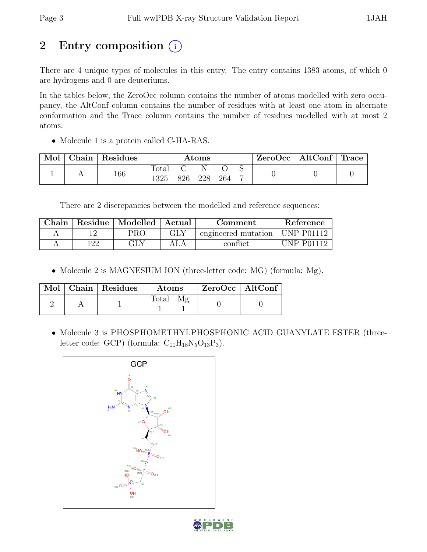# 2 Entry composition (i)

There are 4 unique types of molecules in this entry. The entry contains 1383 atoms, of which 0 are hydrogens and 0 are deuteriums.

In the tables below, the ZeroOcc column contains the number of atoms modelled with zero occupancy, the AltConf column contains the number of residues with at least one atom in alternate conformation and the Trace column contains the number of residues modelled with at most 2 atoms.

• Molecule 1 is a protein called C-HA-RAS.

| Mol | $\operatorname{\mathsf{Chain}}$ | Residues | Atoms         |     |     |     |  | $ZeroOcc \mid AltConf \mid Trace$ |  |
|-----|---------------------------------|----------|---------------|-----|-----|-----|--|-----------------------------------|--|
|     |                                 | 166      | Total<br>1325 | 826 | 228 | 264 |  |                                   |  |

There are 2 discrepancies between the modelled and reference sequences:

| Chain |     | Residue   Modelled   Actual |     | Comment             | Reference         |
|-------|-----|-----------------------------|-----|---------------------|-------------------|
|       |     | PRO                         | GLY | engineered mutation | <b>UNP P01112</b> |
|       | 122 |                             | ALA | conflict            | $IINP$ $P01119$   |

• Molecule 2 is MAGNESIUM ION (three-letter code: MG) (formula: Mg).

|  | Mol   Chain   Residues | Atoms | $ZeroOcc \   \ AltConf$ |  |
|--|------------------------|-------|-------------------------|--|
|  |                        | Total |                         |  |

• Molecule 3 is PHOSPHOMETHYLPHOSPHONIC ACID GUANYLATE ESTER (threeletter code: GCP) (formula:  $C_{11}H_{18}N_5O_{13}P_3$ ).



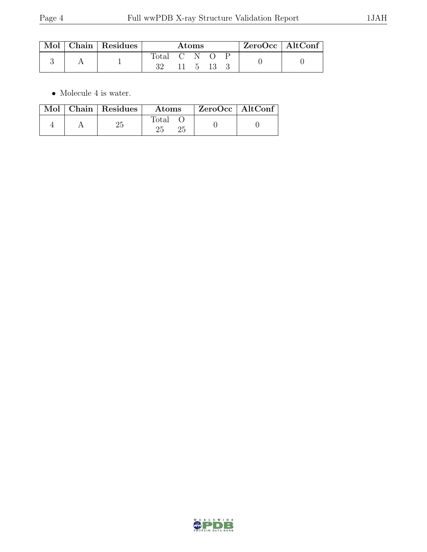|  | Mol   Chain   Residues | Atoms         |  |                       |  |  | $\mid$ ZeroOcc $\mid$ AltConf $\mid$ |  |
|--|------------------------|---------------|--|-----------------------|--|--|--------------------------------------|--|
|  |                        | Total C N O P |  | $11 \quad 5 \quad 13$ |  |  |                                      |  |

 $\bullet\,$  Molecule 4 is water.

|  | Mol   Chain   Residues | Atoms          | ZeroOcc   AltConf |  |
|--|------------------------|----------------|-------------------|--|
|  |                        | $\text{Total}$ |                   |  |

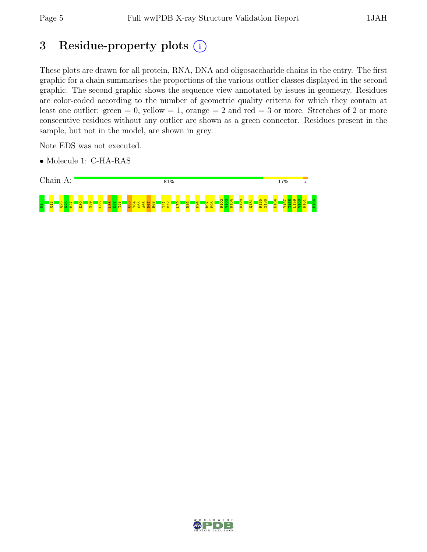# 3 Residue-property plots  $(i)$

These plots are drawn for all protein, RNA, DNA and oligosaccharide chains in the entry. The first graphic for a chain summarises the proportions of the various outlier classes displayed in the second graphic. The second graphic shows the sequence view annotated by issues in geometry. Residues are color-coded according to the number of geometric quality criteria for which they contain at least one outlier: green  $= 0$ , yellow  $= 1$ , orange  $= 2$  and red  $= 3$  or more. Stretches of 2 or more consecutive residues without any outlier are shown as a green connector. Residues present in the sample, but not in the model, are shown in grey.

Note EDS was not executed.

• Molecule 1: C-HA-RAS



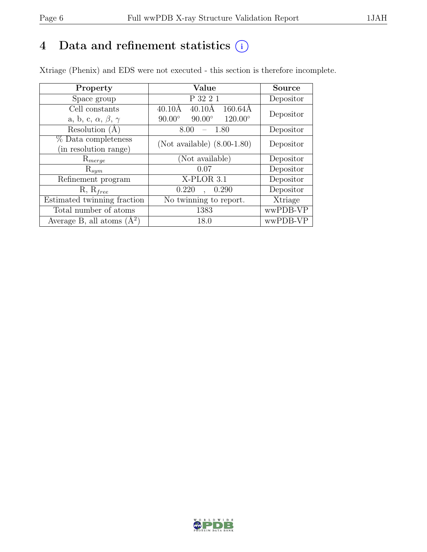# 4 Data and refinement statistics  $(i)$

Xtriage (Phenix) and EDS were not executed - this section is therefore incomplete.

| Property                               | Value                                                        | <b>Source</b> |  |
|----------------------------------------|--------------------------------------------------------------|---------------|--|
| Space group                            | P 32 2 1                                                     | Depositor     |  |
| Cell constants                         | $160.64\text{\AA}$<br>$40.10\text{\AA}$<br>$40.10\text{\AA}$ | Depositor     |  |
| a, b, c, $\alpha$ , $\beta$ , $\gamma$ | $90.00^\circ$<br>$120.00^{\circ}$<br>$90.00^\circ$           |               |  |
| Resolution $(A)$                       | 1.80<br>8.00                                                 | Depositor     |  |
| % Data completeness                    | (Not available) $(8.00-1.80)$                                | Depositor     |  |
| (in resolution range)                  |                                                              |               |  |
| $\mathrm{R}_{merge}$                   | (Not available)                                              | Depositor     |  |
| $\mathrm{R}_{sym}$                     | 0.07                                                         | Depositor     |  |
| Refinement program                     | X-PLOR 3.1                                                   | Depositor     |  |
| $R, R_{free}$                          | 0.220<br>0.290                                               | Depositor     |  |
| Estimated twinning fraction            | No twinning to report.                                       | Xtriage       |  |
| Total number of atoms                  | 1383                                                         | wwPDB-VP      |  |
| Average B, all atoms $(A^2)$           | 18.0                                                         | wwPDB-VP      |  |

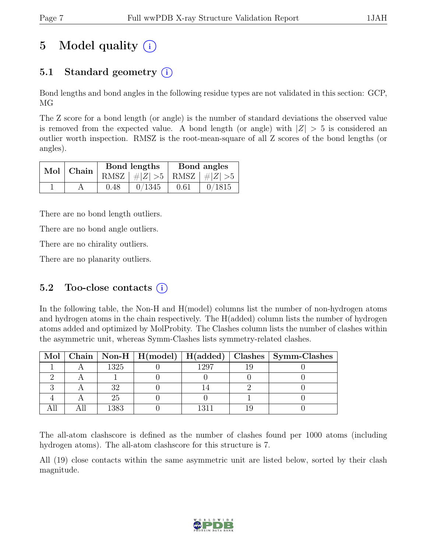# 5 Model quality  $(i)$

## 5.1 Standard geometry  $(i)$

Bond lengths and bond angles in the following residue types are not validated in this section: GCP, MG

The Z score for a bond length (or angle) is the number of standard deviations the observed value is removed from the expected value. A bond length (or angle) with  $|Z| > 5$  is considered an outlier worth inspection. RMSZ is the root-mean-square of all Z scores of the bond lengths (or angles).

| $Mol$   Chain $\overline{\phantom{a}}$ |      | Bond lengths                    | Bond angles |        |  |
|----------------------------------------|------|---------------------------------|-------------|--------|--|
|                                        |      | RMSZ $ #Z  > 5$ RMSZ $ #Z  > 5$ |             |        |  |
|                                        | 0.48 | 0/1345                          | 0.61        | 0/1815 |  |

There are no bond length outliers.

There are no bond angle outliers.

There are no chirality outliers.

There are no planarity outliers.

#### 5.2 Too-close contacts  $(i)$

In the following table, the Non-H and H(model) columns list the number of non-hydrogen atoms and hydrogen atoms in the chain respectively. The H(added) column lists the number of hydrogen atoms added and optimized by MolProbity. The Clashes column lists the number of clashes within the asymmetric unit, whereas Symm-Clashes lists symmetry-related clashes.

|  |      |      | Mol   Chain   Non-H   H(model)   H(added)   Clashes   Symm-Clashes |
|--|------|------|--------------------------------------------------------------------|
|  | 1325 | 1297 |                                                                    |
|  |      |      |                                                                    |
|  |      |      |                                                                    |
|  |      |      |                                                                    |
|  | 1383 |      |                                                                    |

The all-atom clashscore is defined as the number of clashes found per 1000 atoms (including hydrogen atoms). The all-atom clashscore for this structure is 7.

All (19) close contacts within the same asymmetric unit are listed below, sorted by their clash magnitude.

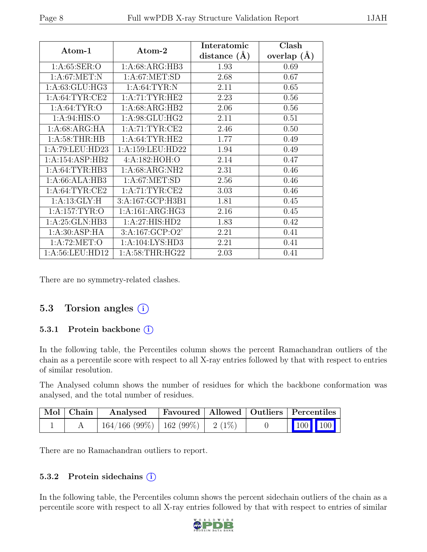| Atom-1             | Atom-2               | Interatomic<br>distance $(A)$ | Clash<br>overlap $(A)$ |
|--------------------|----------------------|-------------------------------|------------------------|
| 1: A:65: SER:O     | 1:A:68:ARG:HB3       | 1.93                          | 0.69                   |
| 1: A:67: MET: N    | 1: A:67: MET:SD      | 2.68                          | 0.67                   |
| 1: A:63: GLU: HG3  | 1: A:64:TYR:N        | 2.11                          | 0.65                   |
| 1: A:64:TYR:CE2    | 1: A:71:TYR:HE2      | 2.23                          | 0.56                   |
| 1: A:64: TYR:O     | 1:A:68:ARG:HB2       | 2.06                          | 0.56                   |
| 1:A:94:HIS:O       | 1: A:98: GLU: HG2    | 2.11                          | 0.51                   |
| 1:A:68:ARG:HA      | 1: A:71: TYR: CE2    | 2.46                          | 0.50                   |
| 1: A:58:THR:HB     | 1: A:64:TYR:HE2      | 1.77                          | 0.49                   |
| 1:A:79:LEU:HD23    | 1: A: 159: LEU: HD22 | 1.94                          | 0.49                   |
| 1:A:154:ASP:HB2    | 4:A:182:HOH:O        | 2.14                          | 0.47                   |
| 1: A:64:TYR:HB3    | 1: A:68: ARG: NH2    | 2.31                          | 0.46                   |
| 1:A:66:ALA:HB3     | 1: A:67: MET:SD      | 2.56                          | 0.46                   |
| 1: A:64:TYR:CE2    | 1:A:71:TYR:CE2       | 3.03                          | 0.46                   |
| 1: A:13: GLY:H     | 3:A:167:GCP:H3B1     | 1.81                          | 0.45                   |
| 1: A: 157: TYR: O  | 1:A:161:ARG:HG3      | 2.16                          | 0.45                   |
| 1:A:25:GLN:HB3     | 1:A:27:HIS:HD2       | 1.83                          | 0.42                   |
| 1: A:30: ASP: HA   | 3:A:167:GCP:O2'      | 2.21                          | 0.41                   |
| 1: A:72: MET:O     | 1:A:104:LYS:HD3      | 2.21                          | 0.41                   |
| 1: A:56: LEU: HD12 | 1: A:58:THR:HG22     | 2.03                          | 0.41                   |

There are no symmetry-related clashes.

#### 5.3 Torsion angles  $(i)$

#### 5.3.1 Protein backbone  $(i)$

In the following table, the Percentiles column shows the percent Ramachandran outliers of the chain as a percentile score with respect to all X-ray entries followed by that with respect to entries of similar resolution.

The Analysed column shows the number of residues for which the backbone conformation was analysed, and the total number of residues.

| $\mid$ Mol $\mid$ Chain $\mid$ | Analysed                                |  | Favoured   Allowed   Outliers   Percentiles                                                                                          |
|--------------------------------|-----------------------------------------|--|--------------------------------------------------------------------------------------------------------------------------------------|
|                                | $164/166 (99\%)$   162 (99\%)   2 (1\%) |  | $\begin{array}{ c c c c c }\n\hline\n\multicolumn{1}{ c }{\hspace{1.2cm}100} & \multicolumn{1}{ c }{\hspace{1.2cm}100}\n\end{array}$ |

There are no Ramachandran outliers to report.

#### 5.3.2 Protein sidechains (i)

In the following table, the Percentiles column shows the percent sidechain outliers of the chain as a percentile score with respect to all X-ray entries followed by that with respect to entries of similar

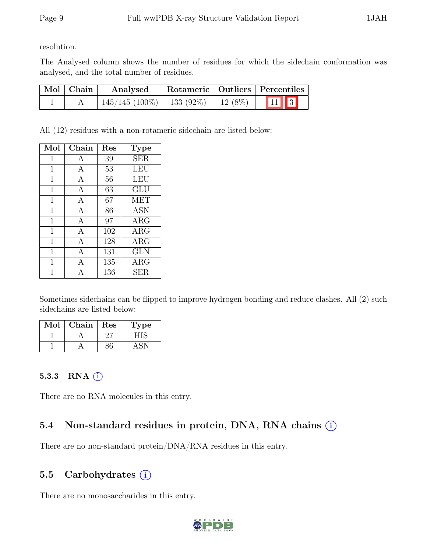resolution.

The Analysed column shows the number of residues for which the sidechain conformation was analysed, and the total number of residues.

| $\vert$ Mol $\vert$ Chain | Analysed                       |           | Rotameric   Outliers   Percentiles |  |
|---------------------------|--------------------------------|-----------|------------------------------------|--|
|                           | $145/145$ (100\%)   133 (92\%) | $12(8\%)$ | $\boxed{11}$                       |  |

All (12) residues with a non-rotameric sidechain are listed below:

| Mol         | $Chain$ | Res | <b>Type</b>             |
|-------------|---------|-----|-------------------------|
| 1           | А       | 39  | <b>SER</b>              |
| $\mathbf 1$ | А       | 53  | LEU                     |
| 1           | А       | 56  | <b>LEU</b>              |
| 1           | A       | 63  | $\overline{\text{GLU}}$ |
| $\mathbf 1$ | A       | 67  | <b>MET</b>              |
| 1           | A       | 86  | ĀSN                     |
| 1           | A       | 97  | $\rm{ARG}$              |
| $\mathbf 1$ | A       | 102 | $\rm{ARG}$              |
| $\mathbf 1$ | А       | 128 | $\rm{ARG}$              |
| 1           | А       | 131 | <b>GLN</b>              |
| 1           | А       | 135 | $\rm{ARG}$              |
|             | Α       | 136 | <b>SER</b>              |

Sometimes sidechains can be flipped to improve hydrogen bonding and reduce clashes. All (2) such sidechains are listed below:

| Mol | Chain | Res | ype |
|-----|-------|-----|-----|
|     |       |     |     |
|     |       |     |     |

#### 5.3.3 RNA  $(i)$

There are no RNA molecules in this entry.

## 5.4 Non-standard residues in protein, DNA, RNA chains (i)

There are no non-standard protein/DNA/RNA residues in this entry.

## 5.5 Carbohydrates  $(i)$

There are no monosaccharides in this entry.

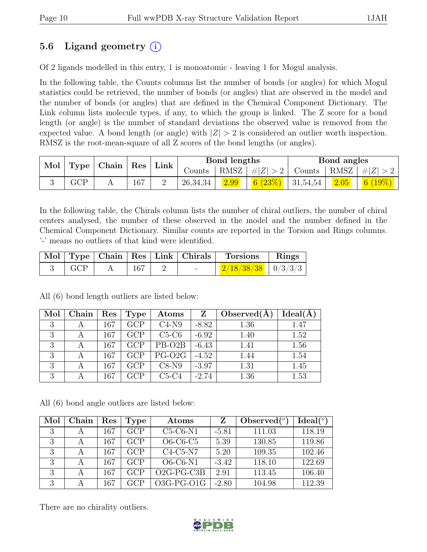## 5.6 Ligand geometry  $(i)$

Of 2 ligands modelled in this entry, 1 is monoatomic - leaving 1 for Mogul analysis.

In the following table, the Counts columns list the number of bonds (or angles) for which Mogul statistics could be retrieved, the number of bonds (or angles) that are observed in the model and the number of bonds (or angles) that are defined in the Chemical Component Dictionary. The Link column lists molecule types, if any, to which the group is linked. The Z score for a bond length (or angle) is the number of standard deviations the observed value is removed from the expected value. A bond length (or angle) with  $|Z| > 2$  is considered an outlier worth inspection. RMSZ is the root-mean-square of all Z scores of the bond lengths (or angles).

|                         | Mol   Type   Chain   Res |     | Link ' |          | Bond lengths    |               |                        | Bond angles    |        |
|-------------------------|--------------------------|-----|--------|----------|-----------------|---------------|------------------------|----------------|--------|
|                         |                          |     | Counts |          | RMSZ $ #Z  > 2$ | Counts   RMSZ |                        | $\# Z $        |        |
| $\mathop{\mathrm{GCP}}$ |                          | 167 |        | 26,34,34 | 2.99            | 6 $(23%)$     | $\vert 31,54,54 \vert$ | $\boxed{2.05}$ | 6(19%) |

In the following table, the Chirals column lists the number of chiral outliers, the number of chiral centers analysed, the number of these observed in the model and the number defined in the Chemical Component Dictionary. Similar counts are reported in the Torsion and Rings columns. '-' means no outliers of that kind were identified.

|            |     |  | Mol   Type   Chain   Res   Link   Chirals   Torsions   Rings |  |
|------------|-----|--|--------------------------------------------------------------|--|
| $\mid$ GCP | 167 |  | $\mid$ 2/18/38/38 $\mid$ 0/3/3/3 $\mid$                      |  |

Mol | Chain | Res | Type | Atoms | Z | Observed $(\AA)$  | Ideal $(\AA)$ 3 | A | 167 | GCP | C4-N9 | -8.82 | 1.36 | 1.47 3 | A | 167 | GCP | C5-C6 | -6.92 | 1.40 | 1.52  $3 \mid A \mid 167 \mid GCP \mid PB-O2B \mid -6.43 \mid 1.41 \mid 1.56$ 3 | A | 167 | GCP | PG-O2G | -4.52 | 1.44 | 1.54 3 | A | 167 | GCP | C8-N9 | -3.97 | 1.31 | 1.45 3 | A | 167 | GCP | C5-C4 | -2.74 | 1.36 | 1.53

All (6) bond length outliers are listed below:

All (6) bond angle outliers are listed below:

| Mol | Chain | Res | Type | Atoms        |         | Observed $(°)$ | Ideal(°) |
|-----|-------|-----|------|--------------|---------|----------------|----------|
| 3   | A     | 167 | GCP  | $C5-C6-N1$   | $-5.81$ | 111.03         | 118.19   |
| 3   | А     | 167 | GCP  | $O6-C6-C5$   | 5.39    | 130.85         | 119.86   |
| 3   | A     | 167 | GCP  | $C4-C5-N7$   | 5.20    | 109.35         | 102.46   |
| 3   |       | 167 | GCP  | $O6-C6-N1$   | $-3.42$ | 118.10         | 122.69   |
| 3   | А     | 167 | GCP  | $O2G-PG-C3B$ | 2.91    | 113.45         | 106.40   |
| 3   |       | 167 | GCP  | $O3G-PG-O1G$ | $-2.80$ | 104.98         | 112.39   |

There are no chirality outliers.

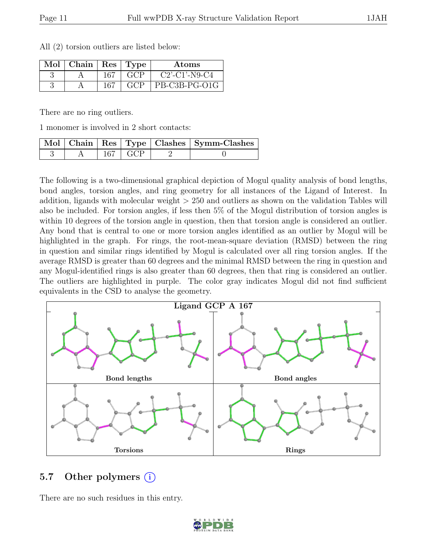|  | All (2) torsion outliers are listed below: |  |  |
|--|--------------------------------------------|--|--|
|  |                                            |  |  |

| $Mol$   Chain   Res   Type |      |                   | Atoms                                     |
|----------------------------|------|-------------------|-------------------------------------------|
|                            | 167  | $\sim$ GCP $\sim$ | $C2$ <sup>2</sup> -C1 <sup>2</sup> -N9-C4 |
|                            | -167 | GCP               | PB-C3B-PG-O1G                             |

There are no ring outliers.

1 monomer is involved in 2 short contacts:

|  |                 | Mol   Chain   Res   Type   Clashes   Symm-Clashes |
|--|-----------------|---------------------------------------------------|
|  | $167 \perp GCP$ |                                                   |

The following is a two-dimensional graphical depiction of Mogul quality analysis of bond lengths, bond angles, torsion angles, and ring geometry for all instances of the Ligand of Interest. In addition, ligands with molecular weight > 250 and outliers as shown on the validation Tables will also be included. For torsion angles, if less then 5% of the Mogul distribution of torsion angles is within 10 degrees of the torsion angle in question, then that torsion angle is considered an outlier. Any bond that is central to one or more torsion angles identified as an outlier by Mogul will be highlighted in the graph. For rings, the root-mean-square deviation (RMSD) between the ring in question and similar rings identified by Mogul is calculated over all ring torsion angles. If the average RMSD is greater than 60 degrees and the minimal RMSD between the ring in question and any Mogul-identified rings is also greater than 60 degrees, then that ring is considered an outlier. The outliers are highlighted in purple. The color gray indicates Mogul did not find sufficient equivalents in the CSD to analyse the geometry.



#### 5.7 Other polymers (i)

There are no such residues in this entry.

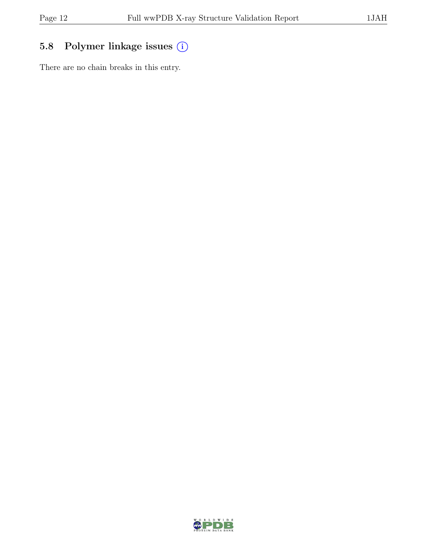## 5.8 Polymer linkage issues  $(i)$

There are no chain breaks in this entry.